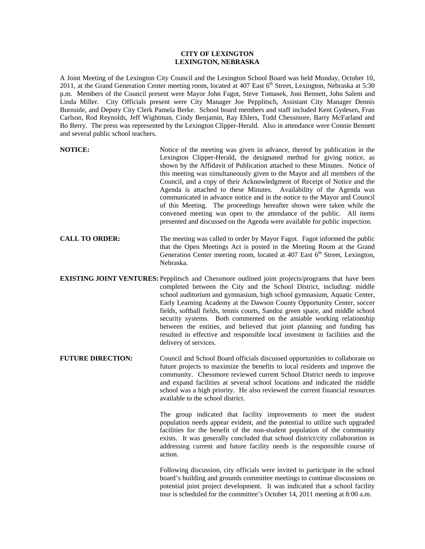## **CITY OF LEXINGTON LEXINGTON, NEBRASKA**

A Joint Meeting of the Lexington City Council and the Lexington School Board was held Monday, October 10, 2011, at the Grand Generation Center meeting room, located at 407 East 6<sup>th</sup> Street, Lexington, Nebraska at 5:30 p.m. Members of the Council present were Mayor John Fagot, Steve Tomasek, Joni Bennett, John Salem and Linda Miller. City Officials present were City Manager Joe Pepplitsch, Assistant City Manager Dennis Burnside, and Deputy City Clerk Pamela Berke. School board members and staff included Kent Gydesen, Fran Carlson, Rod Reynolds, Jeff Wightman, Cindy Benjamin, Ray Ehlers, Todd Chessmore, Barry McFarland and Bo Berry. The press was represented by the Lexington Clipper-Herald. Also in attendance were Connie Bennett and several public school teachers.

- **NOTICE:** Notice of the meeting was given in advance, thereof by publication in the Lexington Clipper-Herald, the designated method for giving notice, as shown by the Affidavit of Publication attached to these Minutes. Notice of this meeting was simultaneously given to the Mayor and all members of the Council, and a copy of their Acknowledgment of Receipt of Notice and the Agenda is attached to these Minutes. Availability of the Agenda was communicated in advance notice and in the notice to the Mayor and Council of this Meeting. The proceedings hereafter shown were taken while the convened meeting was open to the attendance of the public. All items presented and discussed on the Agenda were available for public inspection.
- **CALL TO ORDER:** The meeting was called to order by Mayor Fagot. Fagot informed the public that the Open Meetings Act is posted in the Meeting Room at the Grand Generation Center meeting room, located at  $407$  East  $6<sup>th</sup>$  Street, Lexington, Nebraska.
- **EXISTING JOINT VENTURES:** Pepplitsch and Chessmore outlined joint projects/programs that have been completed between the City and the School District, including: middle school auditorium and gymnasium, high school gymnasium, Aquatic Center, Early Learning Academy at the Dawson County Opportunity Center, soccer fields, softball fields, tennis courts, Sandoz green space, and middle school security systems. Both commented on the amiable working relationship between the entities, and believed that joint planning and funding has resulted in effective and responsible local investment in facilities and the delivery of services.
- **FUTURE DIRECTION:** Council and School Board officials discussed opportunities to collaborate on future projects to maximize the benefits to local residents and improve the community. Chessmore reviewed current School District needs to improve and expand facilities at several school locations and indicated the middle school was a high priority. He also reviewed the current financial resources available to the school district.

The group indicated that facility improvements to meet the student population needs appear evident, and the potential to utilize such upgraded facilities for the benefit of the non-student population of the community exists. It was generally concluded that school district/city collaboration in addressing current and future facility needs is the responsible course of action.

Following discussion, city officials were invited to participate in the school board's building and grounds committee meetings to continue discussions on potential joint project development. It was indicated that a school facility tour is scheduled for the committee's October 14, 2011 meeting at 8:00 a.m.